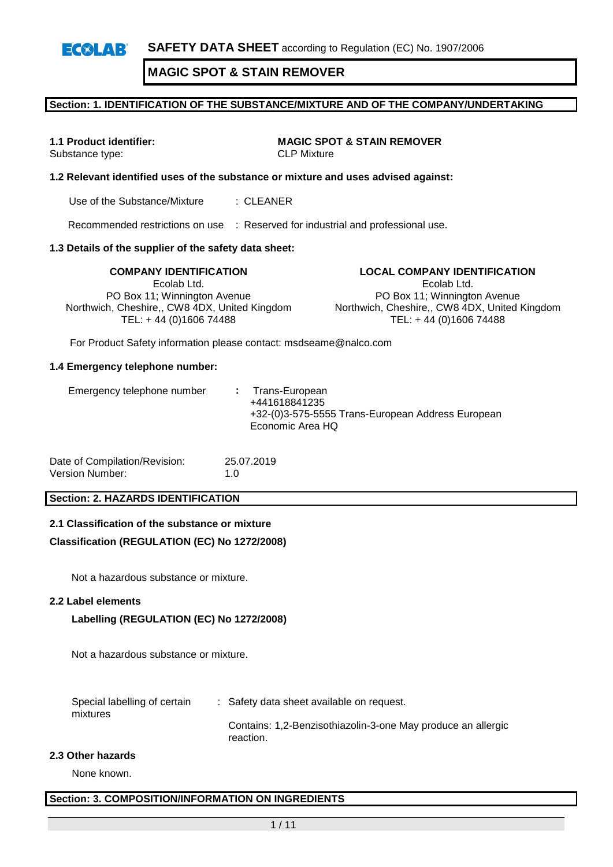## **Section: 1. IDENTIFICATION OF THE SUBSTANCE/MIXTURE AND OF THE COMPANY/UNDERTAKING**

**1.1 Product identifier: MAGIC SPOT & STAIN REMOVER** Substance type: CLP Mixture

## **1.2 Relevant identified uses of the substance or mixture and uses advised against:**

Use of the Substance/Mixture : CLEANER

Recommended restrictions on use : Reserved for industrial and professional use.

## **1.3 Details of the supplier of the safety data sheet:**

Ecolab Ltd. PO Box 11; Winnington Avenue Northwich, Cheshire,, CW8 4DX, United Kingdom TEL: + 44 (0)1606 74488

**COMPANY IDENTIFICATION LOCAL COMPANY IDENTIFICATION** Ecolab Ltd. PO Box 11; Winnington Avenue Northwich, Cheshire,, CW8 4DX, United Kingdom TEL: + 44 (0)1606 74488

For Product Safety information please contact: msdseame@nalco.com

#### **1.4 Emergency telephone number:**

| Emergency telephone number |  | : Trans-European<br>+441618841235<br>+32-(0)3-575-5555 Trans-European Address European<br>Economic Area HQ |
|----------------------------|--|------------------------------------------------------------------------------------------------------------|
|----------------------------|--|------------------------------------------------------------------------------------------------------------|

| Date of Compilation/Revision: | 25.07.2019  |
|-------------------------------|-------------|
| Version Number:               | 1. $\Omega$ |

## **Section: 2. HAZARDS IDENTIFICATION**

#### **2.1 Classification of the substance or mixture**

#### **Classification (REGULATION (EC) No 1272/2008)**

Not a hazardous substance or mixture.

#### **2.2 Label elements**

## **Labelling (REGULATION (EC) No 1272/2008)**

Not a hazardous substance or mixture.

Special labelling of certain mixtures : Safety data sheet available on request. Contains: 1,2-Benzisothiazolin-3-one May produce an allergic reaction.

#### **2.3 Other hazards**

None known.

## **Section: 3. COMPOSITION/INFORMATION ON INGREDIENTS**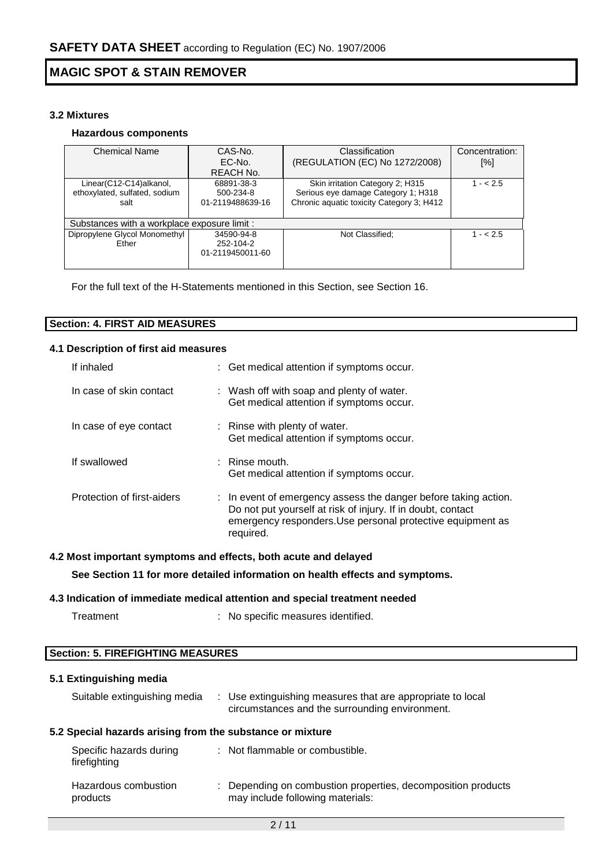## **3.2 Mixtures**

## **Hazardous components**

| <b>Chemical Name</b>                         | CAS-No.          | Classification                            | Concentration: |
|----------------------------------------------|------------------|-------------------------------------------|----------------|
|                                              | EC-No.           | (REGULATION (EC) No 1272/2008)            | [%]            |
|                                              | REACH No.        |                                           |                |
| Linear(C12-C14)alkanol,                      | 68891-38-3       | Skin irritation Category 2; H315          | $1 - 2.5$      |
| ethoxylated, sulfated, sodium                | 500-234-8        | Serious eye damage Category 1; H318       |                |
| salt                                         | 01-2119488639-16 | Chronic aquatic toxicity Category 3; H412 |                |
|                                              |                  |                                           |                |
| Substances with a workplace exposure limit : |                  |                                           |                |
| Dipropylene Glycol Monomethyl                | 34590-94-8       | Not Classified;                           | $1 - 5.5$      |
| Ether                                        | 252-104-2        |                                           |                |
|                                              | 01-2119450011-60 |                                           |                |
|                                              |                  |                                           |                |

For the full text of the H-Statements mentioned in this Section, see Section 16.

| <b>Section: 4. FIRST AID MEASURES</b> |  |
|---------------------------------------|--|

## **4.1 Description of first aid measures**

| If inhaled                 | : Get medical attention if symptoms occur.                                                                                                                                                                           |
|----------------------------|----------------------------------------------------------------------------------------------------------------------------------------------------------------------------------------------------------------------|
| In case of skin contact    | : Wash off with soap and plenty of water.<br>Get medical attention if symptoms occur.                                                                                                                                |
| In case of eye contact     | : Rinse with plenty of water.<br>Get medical attention if symptoms occur.                                                                                                                                            |
| If swallowed               | $:$ Rinse mouth.<br>Get medical attention if symptoms occur.                                                                                                                                                         |
| Protection of first-aiders | $\therefore$ In event of emergency assess the danger before taking action.<br>Do not put yourself at risk of injury. If in doubt, contact<br>emergency responders. Use personal protective equipment as<br>required. |

## **4.2 Most important symptoms and effects, both acute and delayed**

**See Section 11 for more detailed information on health effects and symptoms.**

## **4.3 Indication of immediate medical attention and special treatment needed**

| Treatment | : No specific measures identified. |  |
|-----------|------------------------------------|--|
|           |                                    |  |

## **Section: 5. FIREFIGHTING MEASURES**

## **5.1 Extinguishing media**

| Suitable extinguishing media                              | : Use extinguishing measures that are appropriate to local<br>circumstances and the surrounding environment. |
|-----------------------------------------------------------|--------------------------------------------------------------------------------------------------------------|
| 5.2 Special hazards arising from the substance or mixture |                                                                                                              |
| Specific hazards during<br>firefighting                   | : Not flammable or combustible.                                                                              |
| Hazardous combustion<br>products                          | : Depending on combustion properties, decomposition products<br>may include following materials:             |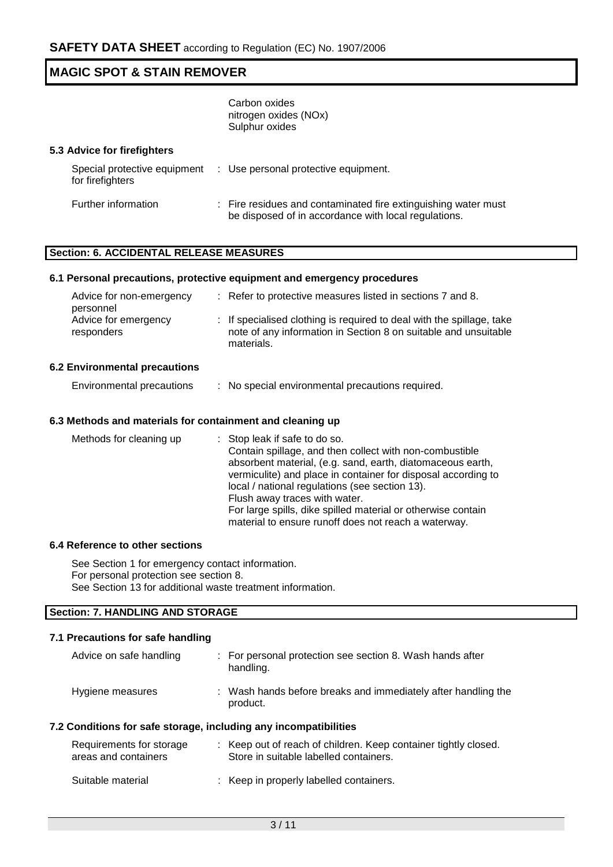Carbon oxides nitrogen oxides (NOx) Sulphur oxides

#### **5.3 Advice for firefighters**

| Special protective equipment<br>for firefighters | : Use personal protective equipment.                                                                                   |
|--------------------------------------------------|------------------------------------------------------------------------------------------------------------------------|
| Further information                              | : Fire residues and contaminated fire extinguishing water must<br>be disposed of in accordance with local regulations. |

## **Section: 6. ACCIDENTAL RELEASE MEASURES**

## **6.1 Personal precautions, protective equipment and emergency procedures**

| Advice for non-emergency<br>personnel | : Refer to protective measures listed in sections 7 and 8.                                                                                             |
|---------------------------------------|--------------------------------------------------------------------------------------------------------------------------------------------------------|
| Advice for emergency<br>responders    | : If specialised clothing is required to deal with the spillage, take<br>note of any information in Section 8 on suitable and unsuitable<br>materials. |

### **6.2 Environmental precautions**

Environmental precautions : No special environmental precautions required.

## **6.3 Methods and materials for containment and cleaning up**

| Methods for cleaning up | : Stop leak if safe to do so.                                 |
|-------------------------|---------------------------------------------------------------|
|                         | Contain spillage, and then collect with non-combustible       |
|                         | absorbent material, (e.g. sand, earth, diatomaceous earth,    |
|                         | vermiculite) and place in container for disposal according to |
|                         | local / national regulations (see section 13).                |
|                         | Flush away traces with water.                                 |
|                         | For large spills, dike spilled material or otherwise contain  |
|                         | material to ensure runoff does not reach a waterway.          |

#### **6.4 Reference to other sections**

See Section 1 for emergency contact information. For personal protection see section 8. See Section 13 for additional waste treatment information.

# **Section: 7. HANDLING AND STORAGE**

## **7.1 Precautions for safe handling**

| Advice on safe handling                                          | : For personal protection see section 8. Wash hands after<br>handling.                                  |
|------------------------------------------------------------------|---------------------------------------------------------------------------------------------------------|
| Hygiene measures                                                 | : Wash hands before breaks and immediately after handling the<br>product.                               |
| 7.2 Conditions for safe storage, including any incompatibilities |                                                                                                         |
| Requirements for storage<br>areas and containers                 | Keep out of reach of children. Keep container tightly closed.<br>Store in suitable labelled containers. |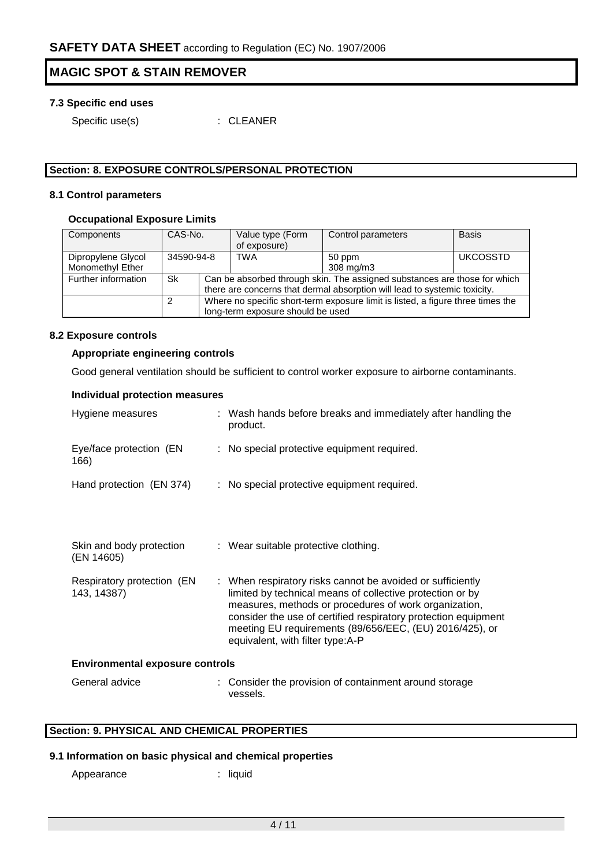## **7.3 Specific end uses**

Specific use(s) : CLEANER

## **Section: 8. EXPOSURE CONTROLS/PERSONAL PROTECTION**

#### **8.1 Control parameters**

## **Occupational Exposure Limits**

| Components                             | CAS-No.    |                                                                                                                                                        | Value type (Form<br>of exposure) | Control parameters  | <b>Basis</b>    |  |  |
|----------------------------------------|------------|--------------------------------------------------------------------------------------------------------------------------------------------------------|----------------------------------|---------------------|-----------------|--|--|
| Dipropylene Glycol<br>Monomethyl Ether | 34590-94-8 |                                                                                                                                                        | TWA                              | 50 ppm<br>308 mg/m3 | <b>UKCOSSTD</b> |  |  |
| Further information                    | <b>Sk</b>  | Can be absorbed through skin. The assigned substances are those for which<br>there are concerns that dermal absorption will lead to systemic toxicity. |                                  |                     |                 |  |  |
|                                        | 2          | Where no specific short-term exposure limit is listed, a figure three times the<br>long-term exposure should be used                                   |                                  |                     |                 |  |  |

#### **8.2 Exposure controls**

## **Appropriate engineering controls**

Good general ventilation should be sufficient to control worker exposure to airborne contaminants.

## **Individual protection measures**

| Hygiene measures                          | : Wash hands before breaks and immediately after handling the<br>product.                                                                                                                                                                                                                                                                         |
|-------------------------------------------|---------------------------------------------------------------------------------------------------------------------------------------------------------------------------------------------------------------------------------------------------------------------------------------------------------------------------------------------------|
| Eye/face protection (EN<br>166)           | : No special protective equipment required.                                                                                                                                                                                                                                                                                                       |
| Hand protection (EN 374)                  | : No special protective equipment required.                                                                                                                                                                                                                                                                                                       |
| Skin and body protection<br>(EN 14605)    | : Wear suitable protective clothing.                                                                                                                                                                                                                                                                                                              |
| Respiratory protection (EN<br>143, 14387) | : When respiratory risks cannot be avoided or sufficiently<br>limited by technical means of collective protection or by<br>measures, methods or procedures of work organization,<br>consider the use of certified respiratory protection equipment<br>meeting EU requirements (89/656/EEC, (EU) 2016/425), or<br>equivalent, with filter type:A-P |
| <b>Environmental exposure controls</b>    |                                                                                                                                                                                                                                                                                                                                                   |
| General advice                            | : Consider the provision of containment around storage<br>vessels.                                                                                                                                                                                                                                                                                |

## **Section: 9. PHYSICAL AND CHEMICAL PROPERTIES**

## **9.1 Information on basic physical and chemical properties**

Appearance : liquid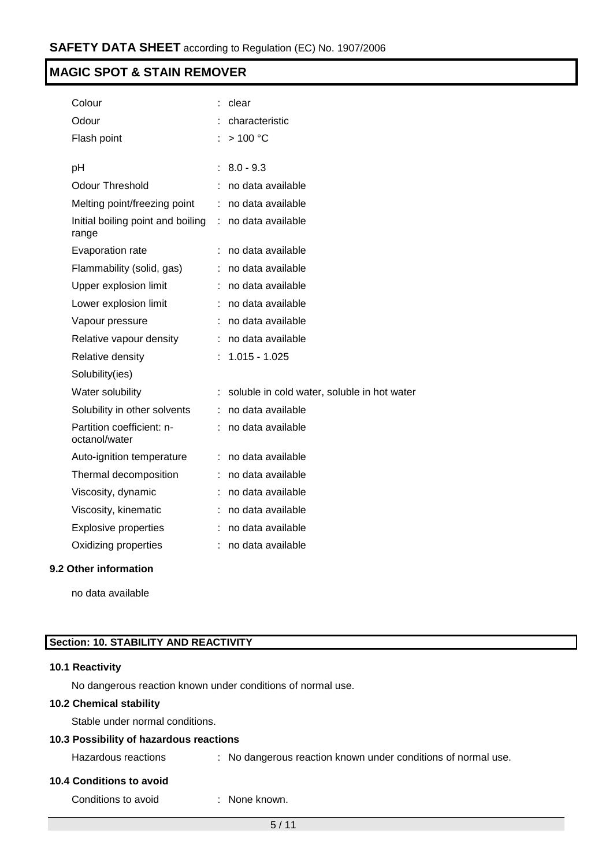| Colour                                     |   | clear                                       |
|--------------------------------------------|---|---------------------------------------------|
| Odour                                      |   | characteristic                              |
| Flash point                                |   | >100 °C                                     |
|                                            | ÷ | $8.0 - 9.3$                                 |
| рH                                         |   |                                             |
| <b>Odour Threshold</b>                     |   | no data available                           |
| Melting point/freezing point               | ÷ | no data available                           |
| Initial boiling point and boiling<br>range | ÷ | no data available                           |
| Evaporation rate                           |   | no data available                           |
| Flammability (solid, gas)                  | ÷ | no data available                           |
| Upper explosion limit                      |   | no data available                           |
| Lower explosion limit                      | ÷ | no data available                           |
| Vapour pressure                            |   | no data available                           |
| Relative vapour density                    |   | no data available                           |
| Relative density                           |   | $1.015 - 1.025$                             |
| Solubility(ies)                            |   |                                             |
| Water solubility                           |   | soluble in cold water, soluble in hot water |
| Solubility in other solvents               |   | no data available                           |
| Partition coefficient: n-<br>octanol/water | ÷ | no data available                           |
| Auto-ignition temperature                  | ÷ | no data available                           |
| Thermal decomposition                      |   | no data available                           |
| Viscosity, dynamic                         |   | no data available                           |
| Viscosity, kinematic                       |   | no data available                           |
| <b>Explosive properties</b>                |   | no data available                           |
| Oxidizing properties                       |   | no data available                           |
|                                            |   |                                             |

## **9.2 Other information**

no data available

## **Section: 10. STABILITY AND REACTIVITY**

## **10.1 Reactivity**

No dangerous reaction known under conditions of normal use.

## **10.2 Chemical stability**

Stable under normal conditions.

## **10.3 Possibility of hazardous reactions**

| Hazardous reactions |  |  | : No dangerous reaction known under conditions of normal use. |  |  |  |  |
|---------------------|--|--|---------------------------------------------------------------|--|--|--|--|
|---------------------|--|--|---------------------------------------------------------------|--|--|--|--|

## **10.4 Conditions to avoid**

Conditions to avoid : None known.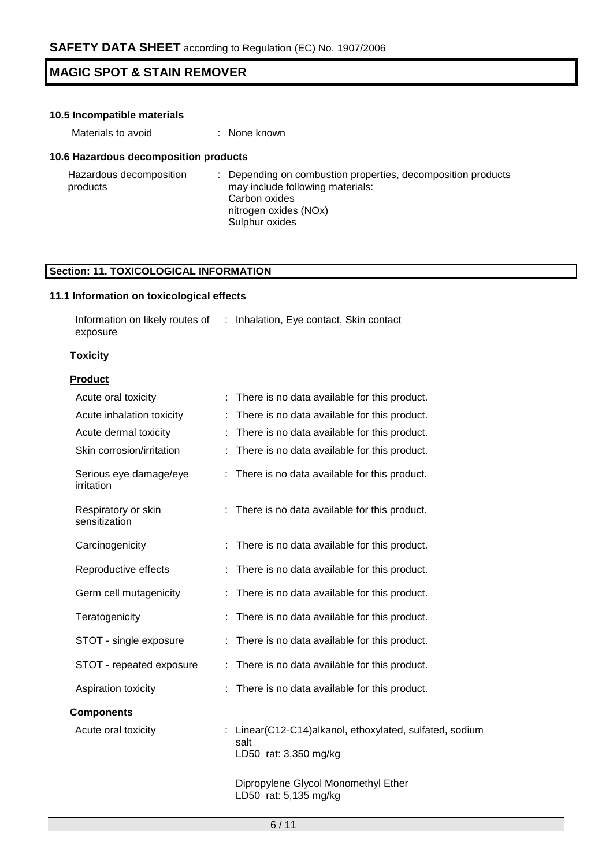| 10.5 Incompatible materials           |                                                                                                                                                                  |  |  |  |
|---------------------------------------|------------------------------------------------------------------------------------------------------------------------------------------------------------------|--|--|--|
| Materials to avoid                    | : None known                                                                                                                                                     |  |  |  |
| 10.6 Hazardous decomposition products |                                                                                                                                                                  |  |  |  |
| Hazardous decomposition<br>products   | Depending on combustion properties, decomposition products<br>÷.<br>may include following materials:<br>Carbon oxides<br>nitrogen oxides (NOx)<br>Sulphur oxides |  |  |  |

# **Section: 11. TOXICOLOGICAL INFORMATION**

## **11.1 Information on toxicological effects**

| Information on likely routes of | : Inhalation, Eye contact, Skin contact |  |
|---------------------------------|-----------------------------------------|--|
| exposure                        |                                         |  |

## **Toxicity**

## **Product**

| Acute oral toxicity                  | There is no data available for this product.                                             |
|--------------------------------------|------------------------------------------------------------------------------------------|
| Acute inhalation toxicity            | There is no data available for this product.                                             |
| Acute dermal toxicity                | There is no data available for this product.                                             |
| Skin corrosion/irritation            | There is no data available for this product.                                             |
| Serious eye damage/eye<br>irritation | There is no data available for this product.<br>÷.                                       |
| Respiratory or skin<br>sensitization | There is no data available for this product.                                             |
| Carcinogenicity                      | There is no data available for this product.                                             |
| Reproductive effects                 | There is no data available for this product.                                             |
| Germ cell mutagenicity               | There is no data available for this product.                                             |
| Teratogenicity                       | There is no data available for this product.                                             |
| STOT - single exposure               | There is no data available for this product.                                             |
| STOT - repeated exposure             | There is no data available for this product.                                             |
| Aspiration toxicity                  | There is no data available for this product.                                             |
| <b>Components</b>                    |                                                                                          |
| Acute oral toxicity                  | : Linear(C12-C14)alkanol, ethoxylated, sulfated, sodium<br>salt<br>LD50 rat: 3,350 mg/kg |
|                                      | Dipropylene Glycol Monomethyl Ether<br>LD50 rat: 5,135 mg/kg                             |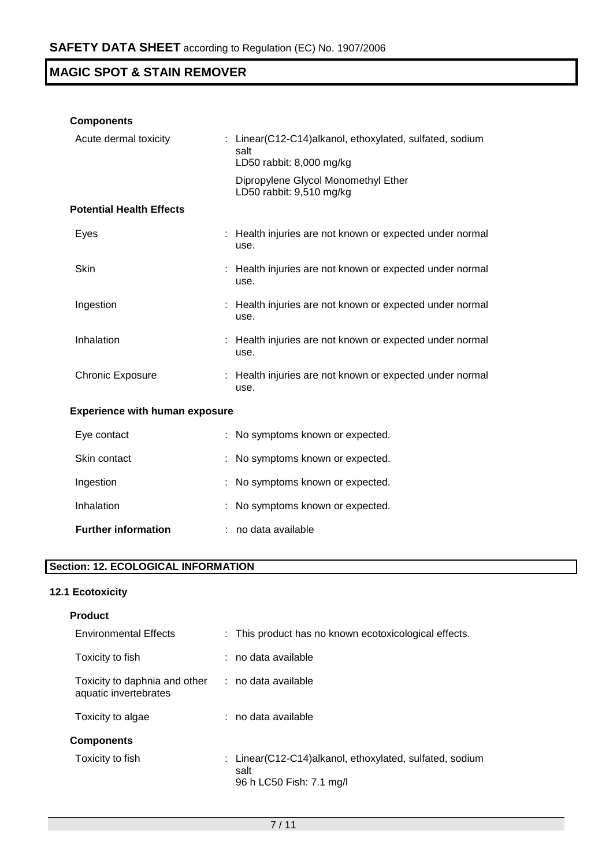## **Components**

| Acute dermal toxicity                 | : Linear(C12-C14)alkanol, ethoxylated, sulfated, sodium<br>salt<br>LD50 rabbit: 8,000 mg/kg |
|---------------------------------------|---------------------------------------------------------------------------------------------|
|                                       | Dipropylene Glycol Monomethyl Ether<br>LD50 rabbit: 9,510 mg/kg                             |
| <b>Potential Health Effects</b>       |                                                                                             |
| Eyes                                  | : Health injuries are not known or expected under normal<br>use.                            |
| <b>Skin</b>                           | : Health injuries are not known or expected under normal<br>use.                            |
| Ingestion                             | : Health injuries are not known or expected under normal<br>use.                            |
| Inhalation                            | : Health injuries are not known or expected under normal<br>use.                            |
| <b>Chronic Exposure</b>               | : Health injuries are not known or expected under normal<br>use.                            |
| <b>Experience with human exposure</b> |                                                                                             |
| Eve contact                           | $\cdot$ No symptoms known or expected.                                                      |

| <b>Further information</b> | : no data available                 |
|----------------------------|-------------------------------------|
| Inhalation                 | : No symptoms known or expected.    |
| Ingestion                  | : No symptoms known or expected.    |
| Skin contact               | : No symptoms known or expected.    |
| Eve contact                | : INO SVINDIONIS KNOWN OF EXPECTED. |

# **Section: 12. ECOLOGICAL INFORMATION**

# **12.1 Ecotoxicity**

| : This product has no known ecotoxicological effects.                                       |
|---------------------------------------------------------------------------------------------|
| : no data available                                                                         |
| $:$ no data available                                                                       |
| : no data available                                                                         |
|                                                                                             |
| : Linear(C12-C14)alkanol, ethoxylated, sulfated, sodium<br>salt<br>96 h LC50 Fish: 7.1 mg/l |
|                                                                                             |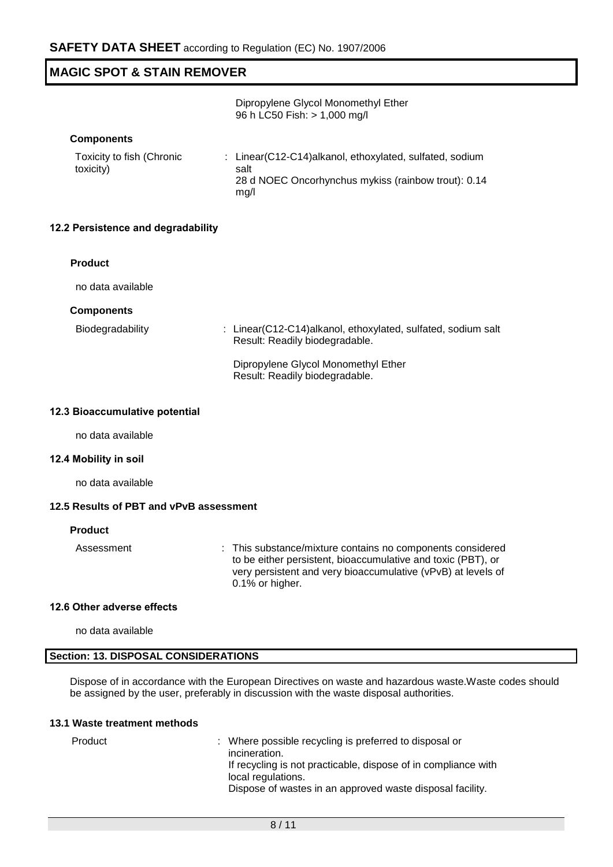Dipropylene Glycol Monomethyl Ether 96 h LC50 Fish: > 1,000 mg/l

#### **Components**

| Toxicity to fish (Chronic | : Linear(C12-C14)alkanol, ethoxylated, sulfated, sodium |
|---------------------------|---------------------------------------------------------|
| toxicity)                 | salt                                                    |
|                           | 28 d NOEC Oncorhynchus mykiss (rainbow trout): 0.14     |
|                           | ma/l                                                    |

#### **12.2 Persistence and degradability**

#### **Product**

no data available

#### **Components**

| Biodegradability | : Linear(C12-C14)alkanol, ethoxylated, sulfated, sodium salt |
|------------------|--------------------------------------------------------------|
|                  | Result: Readily biodegradable.                               |
|                  |                                                              |

Dipropylene Glycol Monomethyl Ether Result: Readily biodegradable.

### **12.3 Bioaccumulative potential**

no data available

#### **12.4 Mobility in soil**

no data available

#### **12.5 Results of PBT and vPvB assessment**

#### **Product**

Assessment : This substance/mixture contains no components considered to be either persistent, bioaccumulative and toxic (PBT), or very persistent and very bioaccumulative (vPvB) at levels of 0.1% or higher.

#### **12.6 Other adverse effects**

no data available

#### **Section: 13. DISPOSAL CONSIDERATIONS**

Dispose of in accordance with the European Directives on waste and hazardous waste.Waste codes should be assigned by the user, preferably in discussion with the waste disposal authorities.

#### **13.1 Waste treatment methods**

| Product | : Where possible recycling is preferred to disposal or         |
|---------|----------------------------------------------------------------|
|         | incineration.                                                  |
|         | If recycling is not practicable, dispose of in compliance with |
|         | local regulations.                                             |
|         | Dispose of wastes in an approved waste disposal facility.      |
|         |                                                                |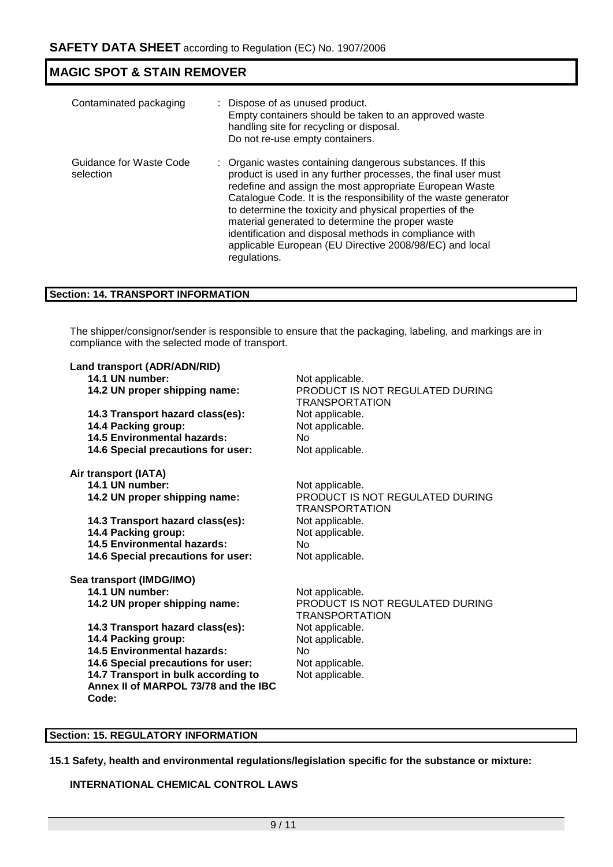| Contaminated packaging               | : Dispose of as unused product.<br>Empty containers should be taken to an approved waste<br>handling site for recycling or disposal.<br>Do not re-use empty containers.                                                                                                                                                                                                                                                                                                                                       |
|--------------------------------------|---------------------------------------------------------------------------------------------------------------------------------------------------------------------------------------------------------------------------------------------------------------------------------------------------------------------------------------------------------------------------------------------------------------------------------------------------------------------------------------------------------------|
| Guidance for Waste Code<br>selection | : Organic wastes containing dangerous substances. If this<br>product is used in any further processes, the final user must<br>redefine and assign the most appropriate European Waste<br>Catalogue Code. It is the responsibility of the waste generator<br>to determine the toxicity and physical properties of the<br>material generated to determine the proper waste<br>identification and disposal methods in compliance with<br>applicable European (EU Directive 2008/98/EC) and local<br>regulations. |

## **Section: 14. TRANSPORT INFORMATION**

The shipper/consignor/sender is responsible to ensure that the packaging, labeling, and markings are in compliance with the selected mode of transport.

| Land transport (ADR/ADN/RID)                  |                                                          |
|-----------------------------------------------|----------------------------------------------------------|
| 14.1 UN number:                               | Not applicable.                                          |
| 14.2 UN proper shipping name:                 | PRODUCT IS NOT REGULATED DURING<br><b>TRANSPORTATION</b> |
| 14.3 Transport hazard class(es):              | Not applicable.                                          |
| 14.4 Packing group:                           | Not applicable.                                          |
| 14.5 Environmental hazards:                   | No.                                                      |
| 14.6 Special precautions for user:            | Not applicable.                                          |
| Air transport (IATA)                          |                                                          |
| 14.1 UN number:                               | Not applicable.                                          |
| 14.2 UN proper shipping name:                 | PRODUCT IS NOT REGULATED DURING<br><b>TRANSPORTATION</b> |
| 14.3 Transport hazard class(es):              | Not applicable.                                          |
| 14.4 Packing group:                           | Not applicable.                                          |
| <b>14.5 Environmental hazards:</b>            | No.                                                      |
| 14.6 Special precautions for user:            | Not applicable.                                          |
| Sea transport (IMDG/IMO)                      |                                                          |
| 14.1 UN number:                               | Not applicable.                                          |
| 14.2 UN proper shipping name:                 | PRODUCT IS NOT REGULATED DURING<br>TRANSPORTATION        |
| 14.3 Transport hazard class(es):              | Not applicable.                                          |
| 14.4 Packing group:                           | Not applicable.                                          |
| <b>14.5 Environmental hazards:</b>            | No.                                                      |
| 14.6 Special precautions for user:            | Not applicable.                                          |
| 14.7 Transport in bulk according to           | Not applicable.                                          |
| Annex II of MARPOL 73/78 and the IBC<br>Code: |                                                          |
|                                               |                                                          |

## **Section: 15. REGULATORY INFORMATION**

**15.1 Safety, health and environmental regulations/legislation specific for the substance or mixture:**

## **INTERNATIONAL CHEMICAL CONTROL LAWS**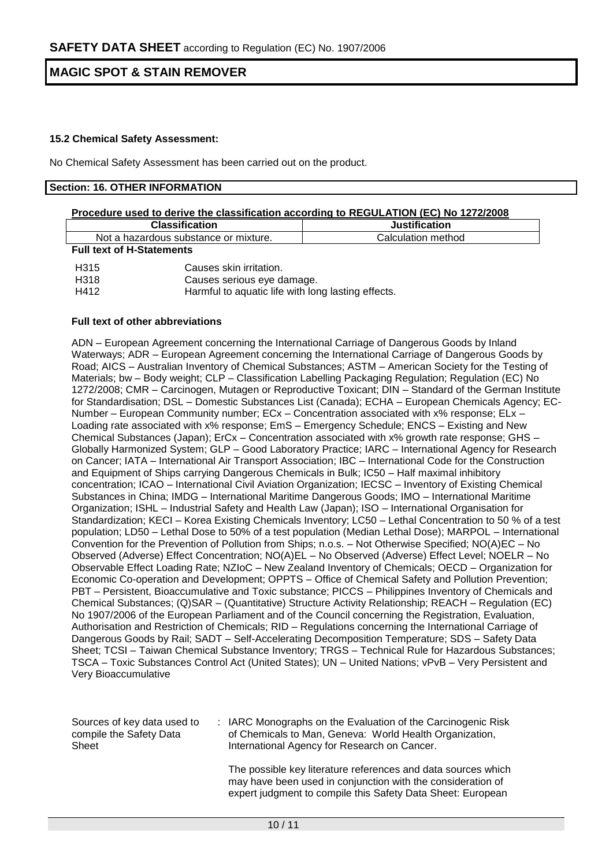## **15.2 Chemical Safety Assessment:**

No Chemical Safety Assessment has been carried out on the product.

#### **Section: 16. OTHER INFORMATION**

| Procedure used to derive the classification according to REGULATION (EC) No 1272/2008 |                        |                      |  |  |  |
|---------------------------------------------------------------------------------------|------------------------|----------------------|--|--|--|
| <b>Classification</b>                                                                 |                        | <b>Justification</b> |  |  |  |
| Not a hazardous substance or mixture.                                                 |                        | Calculation method   |  |  |  |
| <b>Full text of H-Statements</b>                                                      |                        |                      |  |  |  |
| H315                                                                                  | Causes skin irritation |                      |  |  |  |

| H315 | Causes skin irritation.                            |
|------|----------------------------------------------------|
| H318 | Causes serious eye damage.                         |
| H412 | Harmful to aquatic life with long lasting effects. |

#### **Full text of other abbreviations**

ADN – European Agreement concerning the International Carriage of Dangerous Goods by Inland Waterways; ADR – European Agreement concerning the International Carriage of Dangerous Goods by Road; AICS – Australian Inventory of Chemical Substances; ASTM – American Society for the Testing of Materials; bw – Body weight; CLP – Classification Labelling Packaging Regulation; Regulation (EC) No 1272/2008; CMR – Carcinogen, Mutagen or Reproductive Toxicant; DIN – Standard of the German Institute for Standardisation; DSL – Domestic Substances List (Canada); ECHA – European Chemicals Agency; EC-Number – European Community number; ECx – Concentration associated with x% response; ELx – Loading rate associated with x% response; EmS – Emergency Schedule; ENCS – Existing and New Chemical Substances (Japan); ErCx – Concentration associated with x% growth rate response; GHS – Globally Harmonized System; GLP – Good Laboratory Practice; IARC – International Agency for Research on Cancer; IATA – International Air Transport Association; IBC – International Code for the Construction and Equipment of Ships carrying Dangerous Chemicals in Bulk; IC50 – Half maximal inhibitory concentration; ICAO – International Civil Aviation Organization; IECSC – Inventory of Existing Chemical Substances in China; IMDG – International Maritime Dangerous Goods; IMO – International Maritime Organization; ISHL – Industrial Safety and Health Law (Japan); ISO – International Organisation for Standardization; KECI – Korea Existing Chemicals Inventory; LC50 – Lethal Concentration to 50 % of a test population; LD50 – Lethal Dose to 50% of a test population (Median Lethal Dose); MARPOL – International Convention for the Prevention of Pollution from Ships; n.o.s. – Not Otherwise Specified; NO(A)EC – No Observed (Adverse) Effect Concentration; NO(A)EL – No Observed (Adverse) Effect Level; NOELR – No Observable Effect Loading Rate; NZIoC – New Zealand Inventory of Chemicals; OECD – Organization for Economic Co-operation and Development; OPPTS – Office of Chemical Safety and Pollution Prevention; PBT – Persistent, Bioaccumulative and Toxic substance; PICCS – Philippines Inventory of Chemicals and Chemical Substances; (Q)SAR – (Quantitative) Structure Activity Relationship; REACH – Regulation (EC) No 1907/2006 of the European Parliament and of the Council concerning the Registration, Evaluation, Authorisation and Restriction of Chemicals; RID – Regulations concerning the International Carriage of Dangerous Goods by Rail; SADT – Self-Accelerating Decomposition Temperature; SDS – Safety Data Sheet; TCSI – Taiwan Chemical Substance Inventory; TRGS – Technical Rule for Hazardous Substances; TSCA – Toxic Substances Control Act (United States); UN – United Nations; vPvB – Very Persistent and Very Bioaccumulative

| Sources of key data used to | : IARC Monographs on the Evaluation of the Carcinogenic Risk |
|-----------------------------|--------------------------------------------------------------|
| compile the Safety Data     | of Chemicals to Man, Geneva: World Health Organization,      |
| Sheet                       | International Agency for Research on Cancer.                 |

The possible key literature references and data sources which may have been used in conjunction with the consideration of expert judgment to compile this Safety Data Sheet: European